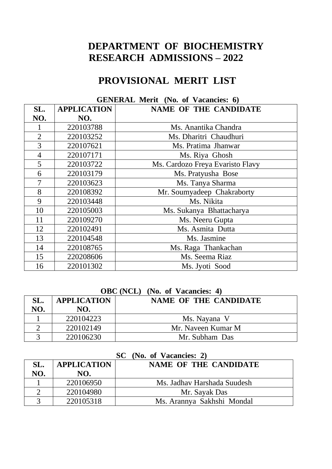# **DEPARTMENT OF BIOCHEMISTRY RESEARCH ADMISSIONS – 2022**

# **PROVISIONAL MERIT LIST**

| OEREKAL MUHI (RV. 01 VACARIUS. V) |                    |                                  |  |  |
|-----------------------------------|--------------------|----------------------------------|--|--|
| SL.                               | <b>APPLICATION</b> | <b>NAME OF THE CANDIDATE</b>     |  |  |
| NO.                               | NO.                |                                  |  |  |
|                                   | 220103788          | Ms. Anantika Chandra             |  |  |
| $\overline{2}$                    | 220103252          | Ms. Dharitri Chaudhuri           |  |  |
| 3                                 | 220107621          | Ms. Pratima Jhanwar              |  |  |
| $\overline{4}$                    | 220107171          | Ms. Riya Ghosh                   |  |  |
| 5                                 | 220103722          | Ms. Cardozo Freya Evaristo Flavy |  |  |
| 6                                 | 220103179          | Ms. Pratyusha Bose               |  |  |
| 7                                 | 220103623          | Ms. Tanya Sharma                 |  |  |
| 8                                 | 220108392          | Mr. Soumyadeep Chakraborty       |  |  |
| 9                                 | 220103448          | Ms. Nikita                       |  |  |
| 10                                | 220105003          | Ms. Sukanya Bhattacharya         |  |  |
| 11                                | 220109270          | Ms. Neeru Gupta                  |  |  |
| 12                                | 220102491          | Ms. Asmita Dutta                 |  |  |
| 13                                | 220104548          | Ms. Jasmine                      |  |  |
| 14                                | 220108765          | Ms. Raga Thankachan              |  |  |
| 15                                | 220208606          | Ms. Seema Riaz                   |  |  |
| 16                                | 220101302          | Ms. Jyoti Sood                   |  |  |

### **GENERAL Merit (No. of Vacancies: 6)**

### **OBC (NCL) (No. of Vacancies: 4)**

| SL. | <b>APPLICATION</b> | NAME OF THE CANDIDATE |
|-----|--------------------|-----------------------|
| NO. | NO.                |                       |
|     | 220104223          | Ms. Nayana V          |
|     | 220102149          | Mr. Naveen Kumar M    |
|     | 220106230          | Mr. Subham Das        |

| ັ<br>$(1.101 \, \text{or} \, \text{or} \, \text{or} \, \text{or} \, \text{or} \, \text{or}$ |                    |                              |  |  |
|---------------------------------------------------------------------------------------------|--------------------|------------------------------|--|--|
| SL.                                                                                         | <b>APPLICATION</b> | <b>NAME OF THE CANDIDATE</b> |  |  |
| NO.                                                                                         | NO.                |                              |  |  |
|                                                                                             | 220106950          | Ms. Jadhay Harshada Suudesh  |  |  |
|                                                                                             | 220104980          | Mr. Sayak Das                |  |  |
|                                                                                             | 220105318          | Ms. Arannya Sakhshi Mondal   |  |  |

#### **SC (No. of Vacancies: 2)**